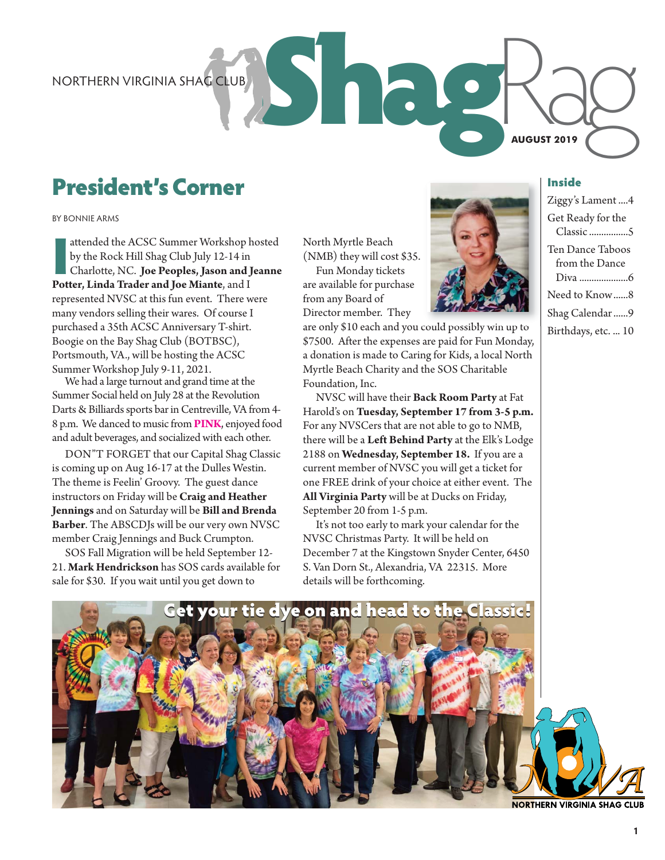# President's Corner

attended the ACSC Summer Workshop **b**<br>by the Rock Hill Shag Club July 12-14 in<br>Charlotte, NC. **Joe Peoples, Jason and J**<br>**Potter, Linda Trader and Joe Miante**, and I attended the ACSC Summer Workshop hosted by the Rock Hill Shag Club July 12-14 in Charlotte, NC. **Joe Peoples, Jason and Jeanne**  represented NVSC at this fun event. There were many vendors selling their wares. Of course I purchased a 35th ACSC Anniversary T-shirt. Boogie on the Bay Shag Club (BOTBSC), Portsmouth, VA., will be hosting the ACSC Summer Workshop July 9-11, 2021.

We had a large turnout and grand time at the Summer Social held on July 28 at the Revolution Darts & Billiards sports bar in Centreville, VA from 4- 8 p.m. We danced to music from **PINK**, enjoyed food and adult beverages, and socialized with each other.

DON"T FORGET that our Capital Shag Classic is coming up on Aug 16-17 at the Dulles Westin. The theme is Feelin' Groovy. The guest dance instructors on Friday will be **Craig and Heather Jennings** and on Saturday will be **Bill and Brenda Barber**. The ABSCDJs will be our very own NVSC member Craig Jennings and Buck Crumpton.

SOS Fall Migration will be held September 12- 21. **Mark Hendrickson** has SOS cards available for sale for \$30. If you wait until you get down to

North Myrtle Beach (NMB) they will cost \$35.

Fun Monday tickets are available for purchase from any Board of Director member. They

are only \$10 each and you could possibly win up to \$7500. After the expenses are paid for Fun Monday, a donation is made to Caring for Kids, a local North Myrtle Beach Charity and the SOS Charitable Foundation, Inc.

NVSC will have their **Back Room Party** at Fat Harold's on **Tuesday, September 17 from 3-5 p.m.** For any NVSCers that are not able to go to NMB, there will be a **Left Behind Party** at the Elk's Lodge 2188 on **Wednesday, September 18.** If you are a current member of NVSC you will get a ticket for one FREE drink of your choice at either event. The **All Virginia Party** will be at Ducks on Friday, September 20 from 1-5 p.m.

It's not too early to mark your calendar for the NVSC Christmas Party. It will be held on December 7 at the Kingstown Snyder Center, 6450 S. Van Dorn St., Alexandria, VA 22315. More details will be forthcoming.



**AUGUST 2019**

ShagRag NORTHERN VIRGINIA SHAG CLUB Ziggy's Lament ....4 Get Ready for the Classic ................5 Ten Dance Taboos from the Dance Diva ....................6 Need to Know ......8 Shag Calendar ......9 Birthdays, etc. ... 10



**NORTHERN VIRGINIA SHAG CLUB**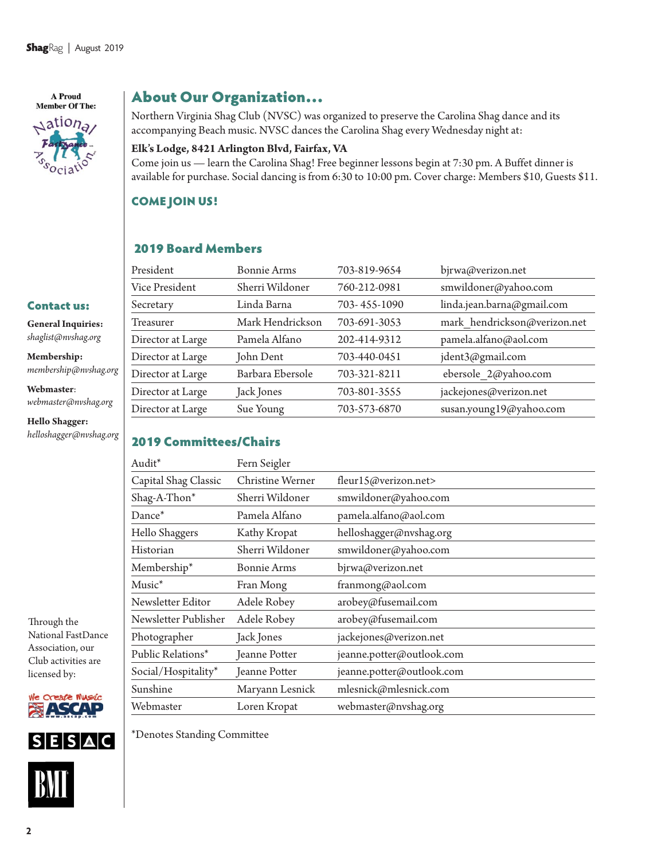A Proud **Member Of The:**  $\triangle$ ation<sub>a</sub>

Contact us: **General Inquiries:**  *shaglist@nvshag.org*  **Membership:** 

**Webmaster**:

**Hello Shagger:** *helloshagger@nvshag.org*

*membership@nvshag.org* 

*webmaster@nvshag.org*

### About Our Organization…

Northern Virginia Shag Club (NVSC) was organized to preserve the Carolina Shag dance and its accompanying Beach music. NVSC dances the Carolina Shag every Wednesday night at:

### **Elk's Lodge, 8421 Arlington Blvd, Fairfax, VA**

Come join us — learn the Carolina Shag! Free beginner lessons begin at 7:30 pm. A Buffet dinner is available for purchase. Social dancing is from 6:30 to 10:00 pm. Cover charge: Members \$10, Guests \$11.

### COME JOIN US!

### 2019 Board Members

| President         | Bonnie Arms      | 703-819-9654 | bjrwa@verizon.net            |
|-------------------|------------------|--------------|------------------------------|
| Vice President    | Sherri Wildoner  | 760-212-0981 | smwildoner@yahoo.com         |
| Secretary         | Linda Barna      | 703-455-1090 | linda.jean.barna@gmail.com   |
| Treasurer         | Mark Hendrickson | 703-691-3053 | mark hendrickson@verizon.net |
| Director at Large | Pamela Alfano    | 202-414-9312 | pamela.alfano@aol.com        |
| Director at Large | John Dent        | 703-440-0451 | jdent3@gmail.com             |
| Director at Large | Barbara Ebersole | 703-321-8211 | ebersole 2@yahoo.com         |
| Director at Large | Jack Jones       | 703-801-3555 | jackejones@verizon.net       |
| Director at Large | Sue Young        | 703-573-6870 | susan.young19@yahoo.com      |
|                   |                  |              |                              |

### 2019 Committees/Chairs

| Audit*               | Fern Seigler       |                           |
|----------------------|--------------------|---------------------------|
| Capital Shag Classic | Christine Werner   | fleur15@verizon.net>      |
| Shag-A-Thon*         | Sherri Wildoner    | smwildoner@yahoo.com      |
| Dance <sup>*</sup>   | Pamela Alfano      | pamela.alfano@aol.com     |
| Hello Shaggers       | Kathy Kropat       | helloshagger@nvshag.org   |
| Historian            | Sherri Wildoner    | smwildoner@yahoo.com      |
| Membership*          | <b>Bonnie Arms</b> | bjrwa@verizon.net         |
| Music <sup>*</sup>   | Fran Mong          | franmong@aol.com          |
| Newsletter Editor    | Adele Robey        | arobey@fusemail.com       |
| Newsletter Publisher | Adele Robey        | arobey@fusemail.com       |
| Photographer         | Jack Jones         | jackejones@verizon.net    |
| Public Relations*    | Jeanne Potter      | jeanne.potter@outlook.com |
| Social/Hospitality*  | Jeanne Potter      | jeanne.potter@outlook.com |
| Sunshine             | Maryann Lesnick    | mlesnick@mlesnick.com     |
| Webmaster            | Loren Kropat       | webmaster@nvshag.org      |

Through the National FastDance Association, our Club activities are licensed by:



 $S$ **ESAC** 



\*Denotes Standing Committee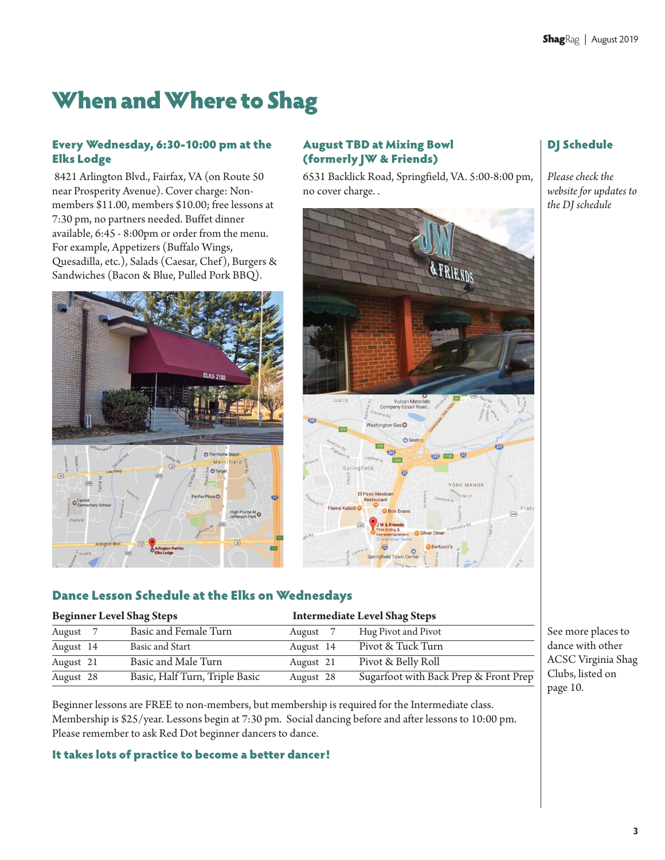# When and Where to Shag

### Every Wednesday, 6:30-10:00 pm at the Elks Lodge

 8421 Arlington Blvd., Fairfax, VA (on Route 50 near Prosperity Avenue). Cover charge: Nonmembers \$11.00, members \$10.00; free lessons at 7:30 pm, no partners needed. Buffet dinner available, 6:45 - 8:00pm or order from the menu. For example, Appetizers (Buffalo Wings, Quesadilla, etc.), Salads (Caesar, Chef), Burgers & Sandwiches (Bacon & Blue, Pulled Pork BBQ).



### August TBD at Mixing Bowl (formerly JW & Friends)

6531 Backlick Road, Springfield, VA. 5:00-8:00 pm, no cover charge. .



### DJ Schedule

*Please check the website for updates to the DJ schedule* 

### Dance Lesson Schedule at the Elks on Wednesdays

| <b>Beginner Level Shag Steps</b> |                                |           | <b>Intermediate Level Shag Steps</b>  |  |
|----------------------------------|--------------------------------|-----------|---------------------------------------|--|
| August 7                         | Basic and Female Turn          | August 7  | Hug Pivot and Pivot                   |  |
| August 14                        | Basic and Start                | August 14 | Pivot & Tuck Turn                     |  |
| August 21                        | Basic and Male Turn            | August 21 | Pivot & Belly Roll                    |  |
| August 28                        | Basic, Half Turn, Triple Basic | August 28 | Sugarfoot with Back Prep & Front Prep |  |

Beginner lessons are FREE to non-members, but membership is required for the Intermediate class. Membership is \$25/year. Lessons begin at 7:30 pm. Social dancing before and after lessons to 10:00 pm. Please remember to ask Red Dot beginner dancers to dance.

### It takes lots of practice to become a better dancer!

See more places to dance with other ACSC Virginia Shag Clubs, listed on page 10.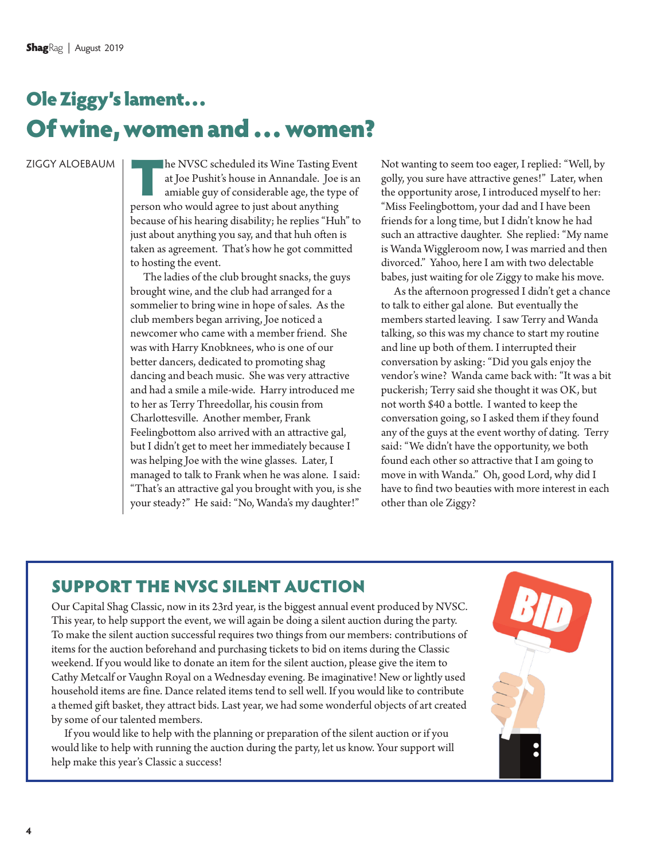# Ole Ziggy's lament… Of wine, women and … women?

The NVSC scheduled its Wine Tasting Event<br>at Joe Pushit's house in Annandale. Joe is an<br>amiable guy of considerable age, the type of<br>person who would agree to just about anything at Joe Pushit's house in Annandale. Joe is an amiable guy of considerable age, the type of person who would agree to just about anything because of his hearing disability; he replies "Huh" to just about anything you say, and that huh often is taken as agreement. That's how he got committed to hosting the event.

The ladies of the club brought snacks, the guys brought wine, and the club had arranged for a sommelier to bring wine in hope of sales. As the club members began arriving, Joe noticed a newcomer who came with a member friend. She was with Harry Knobknees, who is one of our better dancers, dedicated to promoting shag dancing and beach music. She was very attractive and had a smile a mile-wide. Harry introduced me to her as Terry Threedollar, his cousin from Charlottesville. Another member, Frank Feelingbottom also arrived with an attractive gal, but I didn't get to meet her immediately because I was helping Joe with the wine glasses. Later, I managed to talk to Frank when he was alone. I said: "That's an attractive gal you brought with you, is she your steady?" He said: "No, Wanda's my daughter!"

Not wanting to seem too eager, I replied: "Well, by golly, you sure have attractive genes!" Later, when the opportunity arose, I introduced myself to her: "Miss Feelingbottom, your dad and I have been friends for a long time, but I didn't know he had such an attractive daughter. She replied: "My name is Wanda Wiggleroom now, I was married and then divorced." Yahoo, here I am with two delectable babes, just waiting for ole Ziggy to make his move.

As the afternoon progressed I didn't get a chance to talk to either gal alone. But eventually the members started leaving. I saw Terry and Wanda talking, so this was my chance to start my routine and line up both of them. I interrupted their conversation by asking: "Did you gals enjoy the vendor's wine? Wanda came back with: "It was a bit puckerish; Terry said she thought it was OK, but not worth \$40 a bottle. I wanted to keep the conversation going, so I asked them if they found any of the guys at the event worthy of dating. Terry said: "We didn't have the opportunity, we both found each other so attractive that I am going to move in with Wanda." Oh, good Lord, why did I have to find two beauties with more interest in each other than ole Ziggy?

### SUPPORT THE NVSC SILENT AUCTION

Our Capital Shag Classic, now in its 23rd year, is the biggest annual event produced by NVSC. This year, to help support the event, we will again be doing a silent auction during the party. To make the silent auction successful requires two things from our members: contributions of items for the auction beforehand and purchasing tickets to bid on items during the Classic weekend. If you would like to donate an item for the silent auction, please give the item to Cathy Metcalf or Vaughn Royal on a Wednesday evening. Be imaginative! New or lightly used household items are fine. Dance related items tend to sell well. If you would like to contribute a themed gift basket, they attract bids. Last year, we had some wonderful objects of art created by some of our talented members.

If you would like to help with the planning or preparation of the silent auction or if you would like to help with running the auction during the party, let us know. Your support will help make this year's Classic a success!

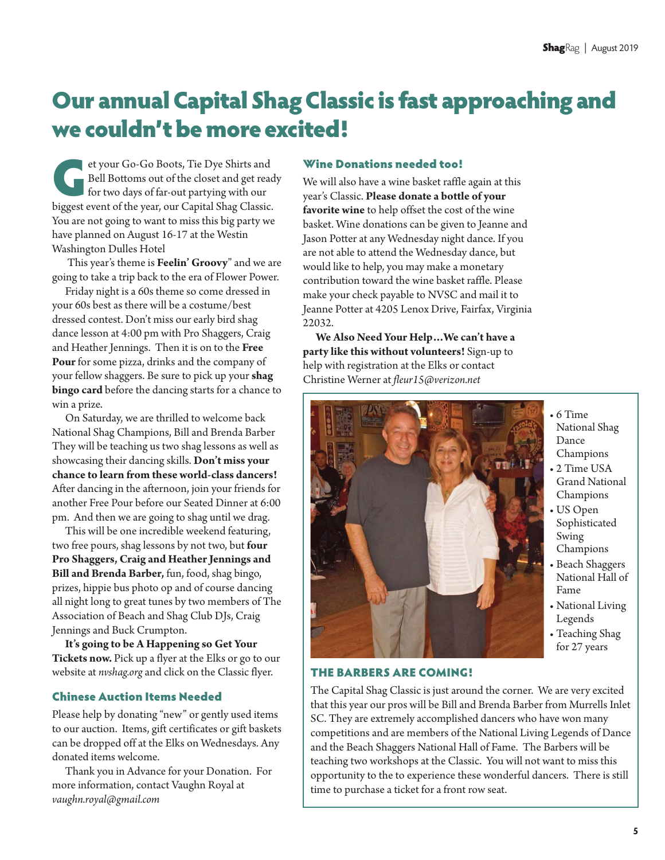# Our annual Capital Shag Classic is fast approaching and we couldn't be more excited!

et your Go-Go Boots, Tie Dye Shirts and<br>Bell Bottoms out of the closet and get reacher for two days of far-out partying with our<br>biogest event of the year, our Capital Shag Classic. Bell Bottoms out of the closet and get ready for two days of far-out partying with our biggest event of the year, our Capital Shag Classic. You are not going to want to miss this big party we have planned on August 16-17 at the Westin Washington Dulles Hotel

 This year's theme is **Feelin' Groovy**" and we are going to take a trip back to the era of Flower Power.

Friday night is a 60s theme so come dressed in your 60s best as there will be a costume/best dressed contest. Don't miss our early bird shag dance lesson at 4:00 pm with Pro Shaggers, Craig and Heather Jennings. Then it is on to the **Free Pour** for some pizza, drinks and the company of your fellow shaggers. Be sure to pick up your **shag bingo card** before the dancing starts for a chance to win a prize.

On Saturday, we are thrilled to welcome back National Shag Champions, Bill and Brenda Barber They will be teaching us two shag lessons as well as showcasing their dancing skills. **Don't miss your chance to learn from these world-class dancers!**  After dancing in the afternoon, join your friends for another Free Pour before our Seated Dinner at 6:00 pm. And then we are going to shag until we drag.

This will be one incredible weekend featuring, two free pours, shag lessons by not two, but **four Pro Shaggers, Craig and Heather Jennings and Bill and Brenda Barber,** fun, food, shag bingo, prizes, hippie bus photo op and of course dancing all night long to great tunes by two members of The Association of Beach and Shag Club DJs, Craig Jennings and Buck Crumpton.

**It's going to be A Happening so Get Your Tickets now.** Pick up a flyer at the Elks or go to our website at *nvshag.org* and click on the Classic flyer.

### Chinese Auction Items Needed

Please help by donating "new" or gently used items to our auction. Items, gift certificates or gift baskets can be dropped off at the Elks on Wednesdays. Any donated items welcome.

Thank you in Advance for your Donation. For more information, contact Vaughn Royal at *vaughn.royal@gmail.com*

### Wine Donations needed too!

We will also have a wine basket raffle again at this year's Classic. **Please donate a bottle of your favorite wine** to help offset the cost of the wine basket. Wine donations can be given to Jeanne and Jason Potter at any Wednesday night dance. If you are not able to attend the Wednesday dance, but would like to help, you may make a monetary contribution toward the wine basket raffle. Please make your check payable to NVSC and mail it to Jeanne Potter at 4205 Lenox Drive, Fairfax, Virginia 22032.

**We Also Need Your Help…We can't have a party like this without volunteers!** Sign-up to help with registration at the Elks or contact Christine Werner at *fleur15@verizon.net*



- 6 Time National Shag Dance Champions
- 2 Time USA Grand National Champions
- US Open Sophisticated Swing Champions
- Beach Shaggers National Hall of Fame
- National Living Legends
- Teaching Shag for 27 years

### THE BARBERS ARE COMING!

The Capital Shag Classic is just around the corner. We are very excited that this year our pros will be Bill and Brenda Barber from Murrells Inlet SC. They are extremely accomplished dancers who have won many competitions and are members of the National Living Legends of Dance and the Beach Shaggers National Hall of Fame. The Barbers will be teaching two workshops at the Classic. You will not want to miss this opportunity to the to experience these wonderful dancers. There is still time to purchase a ticket for a front row seat.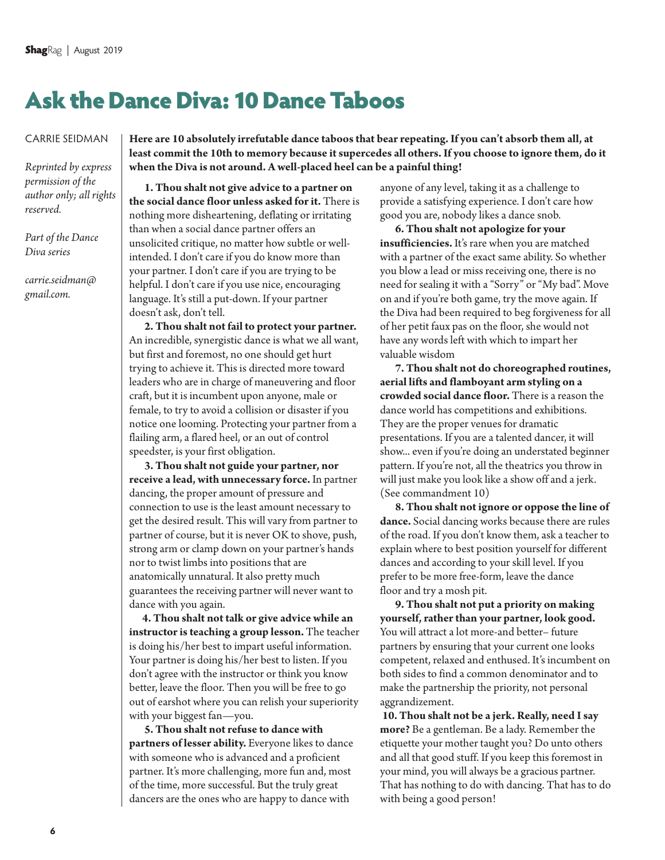# Ask the Dance Diva: 10 Dance Taboos

*Reprinted by express permission of the author only; all rights reserved.* 

*Part of the Dance Diva series* 

*carrie.seidman@ gmail.com.* 

**Here are 10 absolutely irrefutable dance taboos that bear repeating. If you can't absorb them all, at least commit the 10th to memory because it supercedes all others. If you choose to ignore them, do it when the Diva is not around. A well-placed heel can be a painful thing!** 

 **1. Thou shalt not give advice to a partner on the social dance floor unless asked for it.** There is nothing more disheartening, deflating or irritating than when a social dance partner offers an unsolicited critique, no matter how subtle or wellintended. I don't care if you do know more than your partner. I don't care if you are trying to be helpful. I don't care if you use nice, encouraging language. It's still a put-down. If your partner doesn't ask, don't tell.

 **2. Thou shalt not fail to protect your partner.**  An incredible, synergistic dance is what we all want, but first and foremost, no one should get hurt trying to achieve it. This is directed more toward leaders who are in charge of maneuvering and floor craft, but it is incumbent upon anyone, male or female, to try to avoid a collision or disaster if you notice one looming. Protecting your partner from a flailing arm, a flared heel, or an out of control speedster, is your first obligation.

 **3. Thou shalt not guide your partner, nor receive a lead, with unnecessary force.** In partner dancing, the proper amount of pressure and connection to use is the least amount necessary to get the desired result. This will vary from partner to partner of course, but it is never OK to shove, push, strong arm or clamp down on your partner's hands nor to twist limbs into positions that are anatomically unnatural. It also pretty much guarantees the receiving partner will never want to dance with you again.

**4. Thou shalt not talk or give advice while an instructor is teaching a group lesson.** The teacher is doing his/her best to impart useful information. Your partner is doing his/her best to listen. If you don't agree with the instructor or think you know better, leave the floor. Then you will be free to go out of earshot where you can relish your superiority with your biggest fan—you.

 **5. Thou shalt not refuse to dance with partners of lesser ability.** Everyone likes to dance with someone who is advanced and a proficient partner. It's more challenging, more fun and, most of the time, more successful. But the truly great dancers are the ones who are happy to dance with

anyone of any level, taking it as a challenge to provide a satisfying experience. I don't care how good you are, nobody likes a dance snob.

 **6. Thou shalt not apologize for your insufficiencies.** It's rare when you are matched with a partner of the exact same ability. So whether you blow a lead or miss receiving one, there is no need for sealing it with a "Sorry" or "My bad". Move on and if you're both game, try the move again. If the Diva had been required to beg forgiveness for all of her petit faux pas on the floor, she would not have any words left with which to impart her valuable wisdom

 **7. Thou shalt not do choreographed routines, aerial lifts and flamboyant arm styling on a crowded social dance floor.** There is a reason the dance world has competitions and exhibitions. They are the proper venues for dramatic presentations. If you are a talented dancer, it will show... even if you're doing an understated beginner pattern. If you're not, all the theatrics you throw in will just make you look like a show off and a jerk. (See commandment 10)

 **8. Thou shalt not ignore or oppose the line of dance.** Social dancing works because there are rules of the road. If you don't know them, ask a teacher to explain where to best position yourself for different dances and according to your skill level. If you prefer to be more free-form, leave the dance floor and try a mosh pit.

 **9. Thou shalt not put a priority on making yourself, rather than your partner, look good.**  You will attract a lot more-and better– future partners by ensuring that your current one looks competent, relaxed and enthused. It's incumbent on both sides to find a common denominator and to make the partnership the priority, not personal aggrandizement.

**10. Thou shalt not be a jerk. Really, need I say more?** Be a gentleman. Be a lady. Remember the etiquette your mother taught you? Do unto others and all that good stuff. If you keep this foremost in your mind, you will always be a gracious partner. That has nothing to do with dancing. That has to do with being a good person!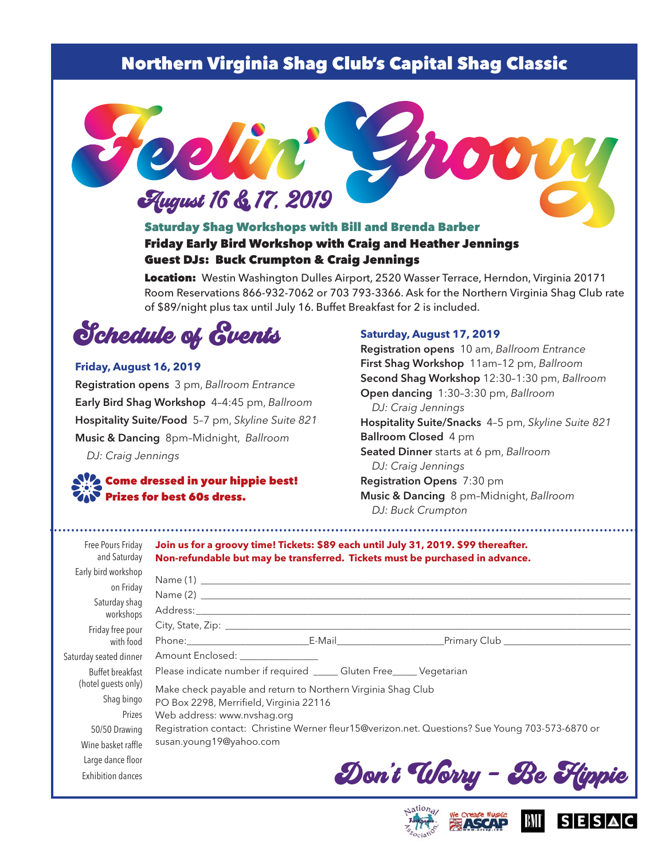### Northern Virginia Shag Club's Capital Shag Classic



### Saturday Shag Workshops with Bill and Brenda Barber Friday Early Bird Workshop with Craig and Heather Jennings Guest DJs: Buck Crumpton & Craig Jennings

Location: Westin Washington Dulles Airport, 2520 Wasser Terrace, Herndon, Virginia 20171 Room Reservations 866-932-7062 or 703 793-3366. Ask for the Northern Virginia Shag Club rate of \$89/night plus tax until July 16. Buffet Breakfast for 2 is included.



#### **Friday, August 16, 2019**

**Registration opens** 3 pm, *Ballroom Entrance* **Early Bird Shag Workshop** 4–4:45 pm, *Ballroom* **Hospitality Suite/Food** 5–7 pm, *Skyline Suite 821*  **Music & Dancing** 8pm–Midnight, *Ballroom DJ: Craig Jennings* 

### Come dressed in your hippie best! Prizes for best 60s dress.

#### **Saturday, August 17, 2019**

**Registration opens** 10 am, *Ballroom Entrance* **First Shag Workshop** 11am –12 pm, *Ballroom* **Second Shag Workshop** 12:30–1:30 pm, *Ballroom* **Open dancing** 1:30–3:30 pm, *Ballroom*  **Hospitality Suite/Snacks** 4-5 pm, *Skyline Suite 821* **Ballroom Closed** 4 pm **Seated Dinner** starts at 6 pm, *Ballroom DJ: Craig Jennings* **Registration Opens** 7:30 pm **Music & Dancing** 8 pm–Midnight, *Ballroom DJ: Buck Crumpton*

| Free Pours Friday<br>and Saturday | Join us for a groovy time! Tickets: \$89 each until July 31, 2019. \$99 thereafter.<br>Non-refundable but may be transferred. Tickets must be purchased in advance. |  |  |  |
|-----------------------------------|---------------------------------------------------------------------------------------------------------------------------------------------------------------------|--|--|--|
| Early bird workshop               |                                                                                                                                                                     |  |  |  |
| on Friday                         |                                                                                                                                                                     |  |  |  |
| Saturday shaq<br>workshops        |                                                                                                                                                                     |  |  |  |
| Friday free pour                  |                                                                                                                                                                     |  |  |  |
| with food                         |                                                                                                                                                                     |  |  |  |
| Saturday seated dinner            | Amount Enclosed: _______________                                                                                                                                    |  |  |  |
| Buffet breakfast                  | Please indicate number if required _____ Gluten Free_____ Vegetarian                                                                                                |  |  |  |
| (hotel guests only)               | Make check payable and return to Northern Virginia Shag Club                                                                                                        |  |  |  |
| Shag bingo                        | PO Box 2298, Merrifield, Virginia 22116                                                                                                                             |  |  |  |
| Prizes                            | Web address: www.nvshag.org                                                                                                                                         |  |  |  |
| 50/50 Drawing                     | Registration contact: Christine Werner fleur15@verizon.net. Questions? Sue Young 703-573-6870 or                                                                    |  |  |  |
| Wine basket raffle                | susan.young19@yahoo.com                                                                                                                                             |  |  |  |
| Large dance floor                 |                                                                                                                                                                     |  |  |  |
| <b>Exhibition dances</b>          | Don't Uorry - Be Flippie                                                                                                                                            |  |  |  |



Jation<sub>a</sub>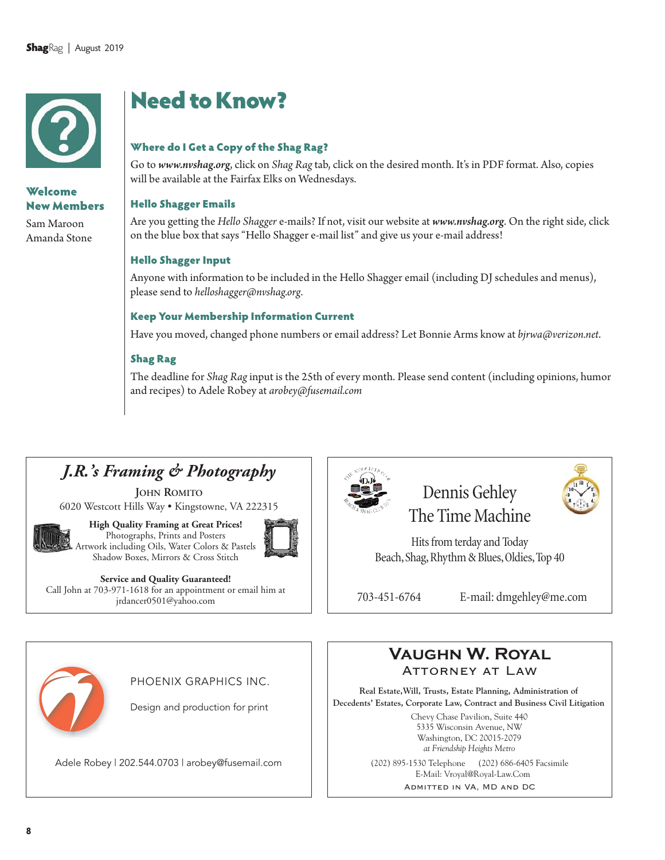

### Welcome New Members

Sam Maroon Amanda Stone

# Need to Know?

### Where do I Get a Copy of the Shag Rag?

Go to *www.nvshag.org*, click on *Shag Rag* tab, click on the desired month. It's in PDF format. Also, copies will be available at the Fairfax Elks on Wednesdays.

### Hello Shagger Emails

Are you getting the *Hello Shagger* e-mails? If not, visit our website at *www.nvshag.org*. On the right side, click on the blue box that says "Hello Shagger e-mail list" and give us your e-mail address!

### Hello Shagger Input

Anyone with information to be included in the Hello Shagger email (including DJ schedules and menus), please send to *helloshagger@nvshag.org*.

#### Keep Your Membership Information Current

Have you moved, changed phone numbers or email address? Let Bonnie Arms know at *bjrwa@verizon.net*.

#### Shag Rag

The deadline for *Shag Rag* input is the 25th of every month. Please send content (including opinions, humor and recipes) to Adele Robey at *arobey@fusemail.com*

### *J.R.'s Framing & Photography*

**JOHN ROMITO** 6020 Westcott Hills Way • Kingstowne, VA 222315





**Service and Quality Guaranteed!**  Call John at 703-971-1618 for an appointment or email him at jrdancer0501@yahoo.com



### Dennis Gehley The Time Machine

Hits from terday and Today Beach, Shag, Rhythm & Blues, Oldies, Top 40

703-451-6764 E-mail: dmgehley@me.com



PHOENIX GRAPHICS INC.

Design and production for print

Adele Robey | 202.544.0703 | arobey@fusemail.com | | (202) 895-1530 Telephone (202) 686-6405 Facsimile



**Real Estate,Will, Trusts, Estate Planning, Administration of Decedents' Estates, Corporate Law, Contract and Business Civil Litigation**

> Chevy Chase Pavilion, Suite 440 5335 Wisconsin Avenue, NW Washington, DC 20015-2079 *at Friendship Heights Metro*

E-Mail: Vroyal@Royal-Law.Com

Admitted in VA, MD and DC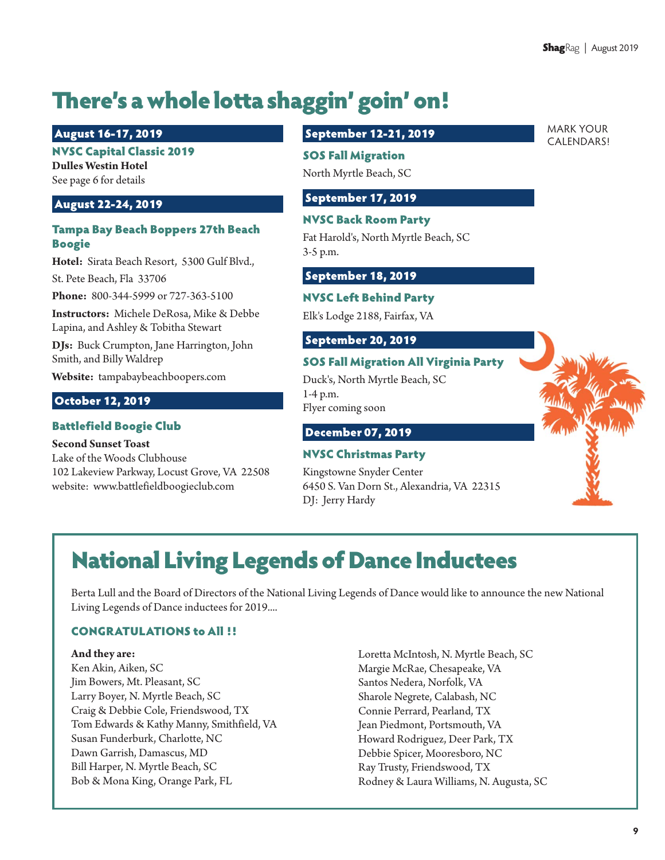MARK YOUR

# There's a whole lotta shaggin' goin' on!

### August 16-17, 2019

### NVSC Capital Classic 2019

**Dulles Westin Hotel**  See page 6 for details

### August 22-24, 2019

### Tampa Bay Beach Boppers 27th Beach Boogie

**Hotel:** Sirata Beach Resort, 5300 Gulf Blvd.,

St. Pete Beach, Fla 33706

**Phone:** 800-344-5999 or 727-363-5100

**Instructors:** Michele DeRosa, Mike & Debbe Lapina, and Ashley & Tobitha Stewart

**DJs:** Buck Crumpton, Jane Harrington, John Smith, and Billy Waldrep

**Website:** tampabaybeachboopers.com

### October 12, 2019

### Battlefield Boogie Club

**Second Sunset Toast** 

Lake of the Woods Clubhouse 102 Lakeview Parkway, Locust Grove, VA 22508 website: www.battlefieldboogieclub.com

### September 12-21, 2019

### SOS Fall Migration

North Myrtle Beach, SC

### September 17, 2019

### NVSC Back Room Party

Fat Harold's, North Myrtle Beach, SC 3-5 p.m.

### September 18, 2019

### NVSC Left Behind Party

Elk's Lodge 2188, Fairfax, VA

### September 20, 2019

### SOS Fall Migration All Virginia Party

Duck's, North Myrtle Beach, SC 1-4 p.m. Flyer coming soon

### December 07, 2019

### NVSC Christmas Party

Kingstowne Snyder Center 6450 S. Van Dorn St., Alexandria, VA 22315 DJ: Jerry Hardy

# National Living Legends of Dance Inductees

Berta Lull and the Board of Directors of the National Living Legends of Dance would like to announce the new National Living Legends of Dance inductees for 2019....

#### CONGRATULATIONS to All !!

#### **And they are:**

Ken Akin, Aiken, SC Jim Bowers, Mt. Pleasant, SC Larry Boyer, N. Myrtle Beach, SC Craig & Debbie Cole, Friendswood, TX Tom Edwards & Kathy Manny, Smithfield, VA Susan Funderburk, Charlotte, NC Dawn Garrish, Damascus, MD Bill Harper, N. Myrtle Beach, SC Bob & Mona King, Orange Park, FL

Loretta McIntosh, N. Myrtle Beach, SC Margie McRae, Chesapeake, VA Santos Nedera, Norfolk, VA Sharole Negrete, Calabash, NC Connie Perrard, Pearland, TX Jean Piedmont, Portsmouth, VA Howard Rodriguez, Deer Park, TX Debbie Spicer, Mooresboro, NC Ray Trusty, Friendswood, TX Rodney & Laura Williams, N. Augusta, SC